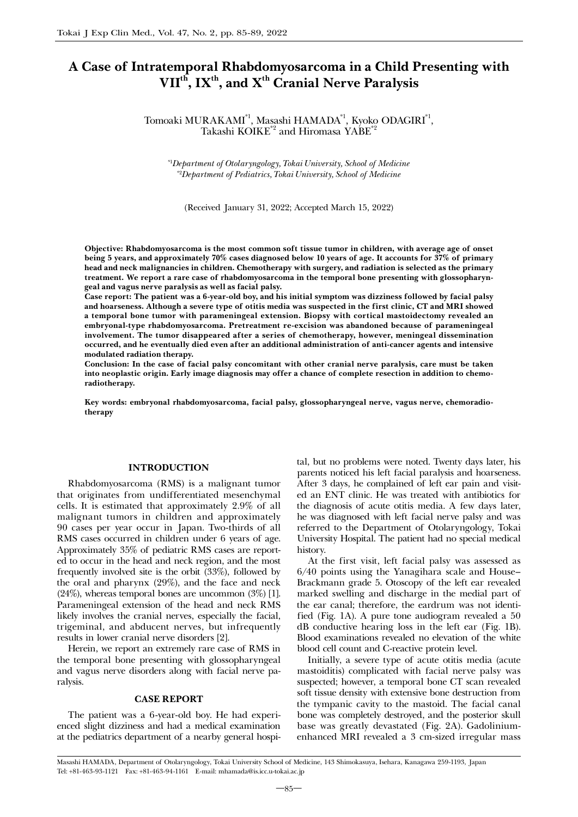# A Case of Intratemporal Rhabdomyosarcoma in a Child Presenting with  $VII<sup>th</sup>$ , IX<sup>th</sup>, and X<sup>th</sup> Cranial Nerve Paralysis

Tomoaki MURAKAMI\*1, Masashi HAMADA\*1, Kyoko ODAGIRI\*1, Takashi KOIKE<sup>\*2</sup> and Hiromasa YABE<sup>\*</sup>

*\**1 *Department of Otolaryngology, Tokai University, School of Medicine \**2 *Department of Pediatrics, Tokai University, School of Medicine*

(Received January 31, 2022; Accepted March 15, 2022)

Objective: Rhabdomyosarcoma is the most common soft tissue tumor in children, with average age of onset being 5 years, and approximately 70% cases diagnosed below 10 years of age. It accounts for 37% of primary head and neck malignancies in children. Chemotherapy with surgery, and radiation is selected as the primary treatment. We report a rare case of rhabdomyosarcoma in the temporal bone presenting with glossopharyngeal and vagus nerve paralysis as well as facial palsy.

Case report: The patient was a 6-year-old boy, and his initial symptom was dizziness followed by facial palsy and hoarseness. Although a severe type of otitis media was suspected in the first clinic, CT and MRI showed a temporal bone tumor with parameningeal extension. Biopsy with cortical mastoidectomy revealed an embryonal-type rhabdomyosarcoma. Pretreatment re-excision was abandoned because of parameningeal involvement. The tumor disappeared after a series of chemotherapy, however, meningeal dissemination occurred, and he eventually died even after an additional administration of anti-cancer agents and intensive modulated radiation therapy.

Conclusion: In the case of facial palsy concomitant with other cranial nerve paralysis, care must be taken into neoplastic origin. Early image diagnosis may offer a chance of complete resection in addition to chemoradiotherapy.

Key words: embryonal rhabdomyosarcoma, facial palsy, glossopharyngeal nerve, vagus nerve, chemoradiotherapy

### INTRODUCTION

Rhabdomyosarcoma (RMS) is a malignant tumor that originates from undifferentiated mesenchymal cells. It is estimated that approximately 2.9% of all malignant tumors in children and approximately 90 cases per year occur in Japan. Two-thirds of all RMS cases occurred in children under 6 years of age. Approximately 35% of pediatric RMS cases are reported to occur in the head and neck region, and the most frequently involved site is the orbit (33%), followed by the oral and pharynx (29%), and the face and neck (24%), whereas temporal bones are uncommon (3%) [1]. Parameningeal extension of the head and neck RMS likely involves the cranial nerves, especially the facial, trigeminal, and abducent nerves, but infrequently results in lower cranial nerve disorders [2].

Herein, we report an extremely rare case of RMS in the temporal bone presenting with glossopharyngeal and vagus nerve disorders along with facial nerve paralysis.

### CASE REPORT

The patient was a 6-year-old boy. He had experienced slight dizziness and had a medical examination at the pediatrics department of a nearby general hospital, but no problems were noted. Twenty days later, his parents noticed his left facial paralysis and hoarseness. After 3 days, he complained of left ear pain and visited an ENT clinic. He was treated with antibiotics for the diagnosis of acute otitis media. A few days later, he was diagnosed with left facial nerve palsy and was referred to the Department of Otolaryngology, Tokai University Hospital. The patient had no special medical history.

At the first visit, left facial palsy was assessed as 6/40 points using the Yanagihara scale and House– Brackmann grade 5. Otoscopy of the left ear revealed marked swelling and discharge in the medial part of the ear canal; therefore, the eardrum was not identified (Fig. 1A). A pure tone audiogram revealed a 50 dB conductive hearing loss in the left ear (Fig. 1B). Blood examinations revealed no elevation of the white blood cell count and C-reactive protein level.

Initially, a severe type of acute otitis media (acute mastoiditis) complicated with facial nerve palsy was suspected; however, a temporal bone CT scan revealed soft tissue density with extensive bone destruction from the tympanic cavity to the mastoid. The facial canal bone was completely destroyed, and the posterior skull base was greatly devastated (Fig. 2A). Gadoliniumenhanced MRI revealed a 3 cm-sized irregular mass

Masashi HAMADA, Department of Otolaryngology, Tokai University School of Medicine, 143 Shimokasuya, Isehara, Kanagawa 259-1193, Japan Tel: +81-463-93-1121 Fax: +81-463-94-1161 E-mail: mhamada@is.icc.u-tokai.ac.jp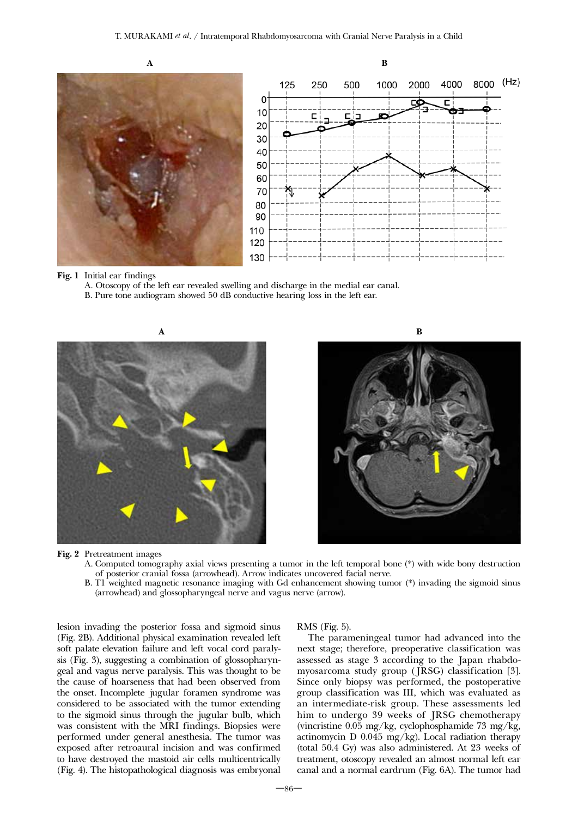



Fig. 1 Initial ear findings

A. Otoscopy of the left ear revealed swelling and discharge in the medial ear canal.

B. Pure tone audiogram showed 50 dB conductive hearing loss in the left ear.





Fig. 2 Pretreatment images

- A. Computed tomography axial views presenting a tumor in the left temporal bone (\*) with wide bony destruction of posterior cranial fossa (arrowhead). Arrow indicates uncovered facial nerve.
- B. T1 weighted magnetic resonance imaging with Gd enhancement showing tumor (\*) invading the sigmoid sinus (arrowhead) and glossopharyngeal nerve and vagus nerve (arrow).

lesion invading the posterior fossa and sigmoid sinus (Fig. 2B). Additional physical examination revealed left soft palate elevation failure and left vocal cord paralysis (Fig. 3), suggesting a combination of glossopharyngeal and vagus nerve paralysis. This was thought to be the cause of hoarseness that had been observed from the onset. Incomplete jugular foramen syndrome was considered to be associated with the tumor extending to the sigmoid sinus through the jugular bulb, which was consistent with the MRI findings. Biopsies were performed under general anesthesia. The tumor was exposed after retroaural incision and was confirmed to have destroyed the mastoid air cells multicentrically (Fig. 4). The histopathological diagnosis was embryonal

RMS (Fig. 5).

The parameningeal tumor had advanced into the next stage; therefore, preoperative classification was assessed as stage 3 according to the Japan rhabdomyosarcoma study group (JRSG) classification [3]. Since only biopsy was performed, the postoperative group classification was III, which was evaluated as an intermediate-risk group. These assessments led him to undergo 39 weeks of JRSG chemotherapy (vincristine 0.05 mg/kg, cyclophosphamide 73 mg/kg, actinomycin D 0.045 mg/kg). Local radiation therapy (total 50.4 Gy) was also administered. At 23 weeks of treatment, otoscopy revealed an almost normal left ear canal and a normal eardrum (Fig. 6A). The tumor had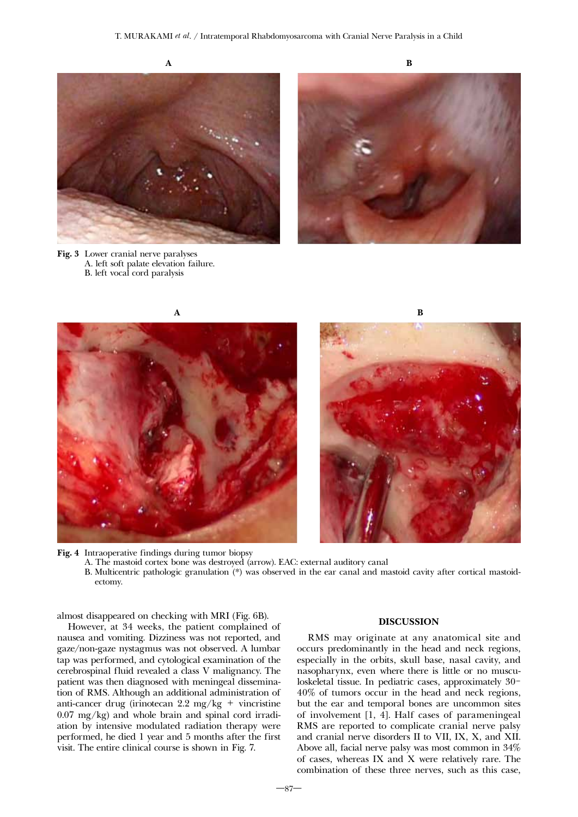









Fig. 4 Intraoperative findings during tumor biopsy

A. The mastoid cortex bone was destroyed (arrow). EAC: external auditory canal

B. Multicentric pathologic granulation (\*) was observed in the ear canal and mastoid cavity after cortical mastoidectomy.

almost disappeared on checking with MRI (Fig. 6B).

However, at 34 weeks, the patient complained of nausea and vomiting. Dizziness was not reported, and gaze/non-gaze nystagmus was not observed. A lumbar tap was performed, and cytological examination of the cerebrospinal fluid revealed a class V malignancy. The patient was then diagnosed with meningeal dissemination of RMS. Although an additional administration of anti-cancer drug (irinotecan 2.2 mg/kg + vincristine 0.07 mg/kg) and whole brain and spinal cord irradiation by intensive modulated radiation therapy were performed, he died 1 year and 5 months after the first visit. The entire clinical course is shown in Fig. 7.

## DISCUSSION

RMS may originate at any anatomical site and occurs predominantly in the head and neck regions, especially in the orbits, skull base, nasal cavity, and nasopharynx, even where there is little or no musculoskeletal tissue. In pediatric cases, approximately 30- 40% of tumors occur in the head and neck regions, but the ear and temporal bones are uncommon sites of involvement [1, 4]. Half cases of parameningeal RMS are reported to complicate cranial nerve palsy and cranial nerve disorders II to VII, IX, X, and XII. Above all, facial nerve palsy was most common in 34% of cases, whereas IX and X were relatively rare. The combination of these three nerves, such as this case,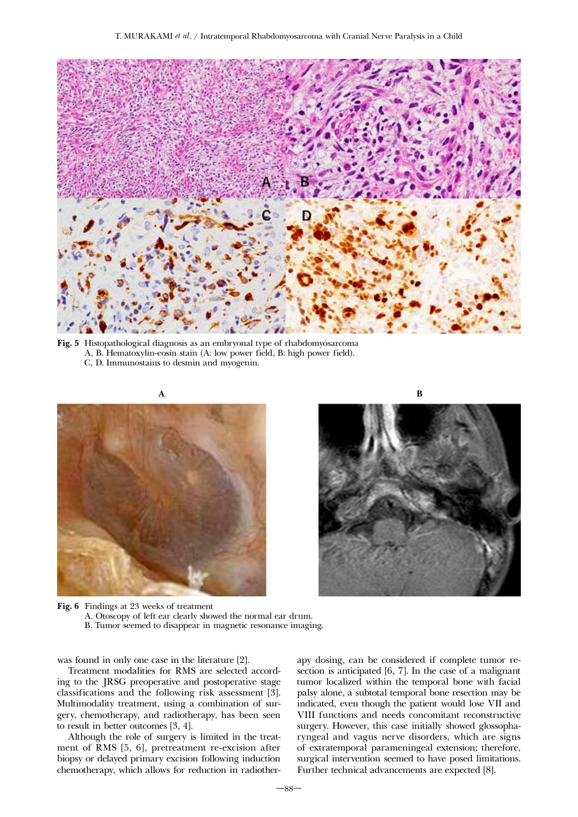

Fig. 5 Histopathological diagnosis as an embryonal type of rhabdomyosarcoma A, B. Hematoxylin-eosin stain (A: low power field, B: high power field). C, D. Immunostains to desmin and myogenin.





Fig. 6 Findings at 23 weeks of treatment A. Otoscopy of left ear clearly showed the normal ear drum. B. Tumor seemed to disappear in magnetic resonance imaging.

was found in only one case in the literature [2].

Treatment modalities for RMS are selected according to the JRSG preoperative and postoperative stage classifications and the following risk assessment [3]. Multimodality treatment, using a combination of surgery, chemotherapy, and radiotherapy, has been seen to result in better outcomes [3, 4].

Although the role of surgery is limited in the treatment of RMS [5, 6], pretreatment re-excision after biopsy or delayed primary excision following induction chemotherapy, which allows for reduction in radiotherapy dosing, can be considered if complete tumor resection is anticipated [6, 7]. In the case of a malignant tumor localized within the temporal bone with facial palsy alone, a subtotal temporal bone resection may be indicated, even though the patient would lose VII and VIII functions and needs concomitant reconstructive surgery. However, this case initially showed glossopharyngeal and vagus nerve disorders, which are signs of extratemporal parameningeal extension; therefore, surgical intervention seemed to have posed limitations. Further technical advancements are expected [8].

 $-88$